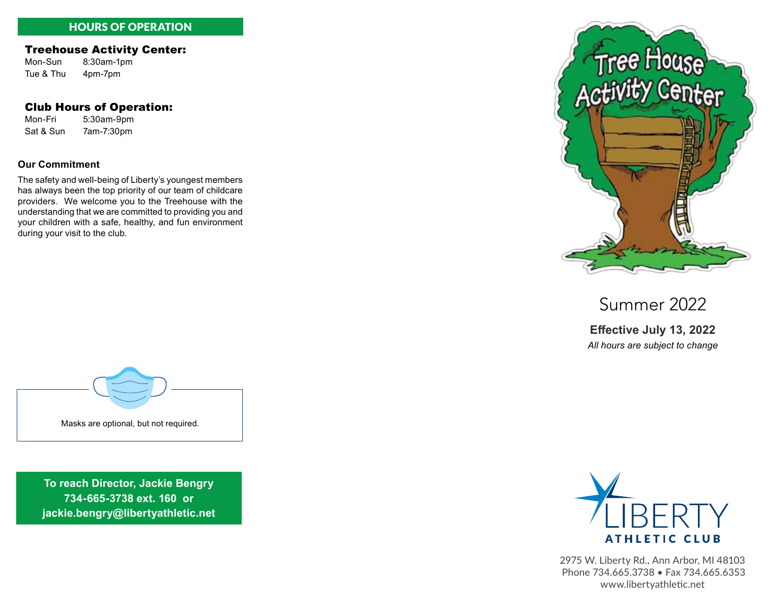# HOURS OF OPERATION

## Treehouse Activity Center:

Mon-Sun 8:30am-1pm Tue & Thu 4pm-7pm

## Club Hours of Operation:

Mon-Fri 5:30am-9pm Sat & Sun 7am-7:30pm

#### **Our Commitment**

The safety and well-being of Liberty's youngest members has always been the top priority of our team of childcare providers. We welcome you to the Treehouse with the understanding that we are committed to providing you and your children with a safe, healthy, and fun environment during your visit to the club.



Summer 2022

**Effective July 13, 2022** *All hours are subject to change*



**To reach Director, Jackie Bengry 734-665-3738 ext. 160 or jackie.bengry@libertyathletic.net** 



2975 W. Liberty Rd., Ann Arbor, MI 48103 Phone 734.665.3738 • Fax 734.665.6353 www.libertyathletic.net